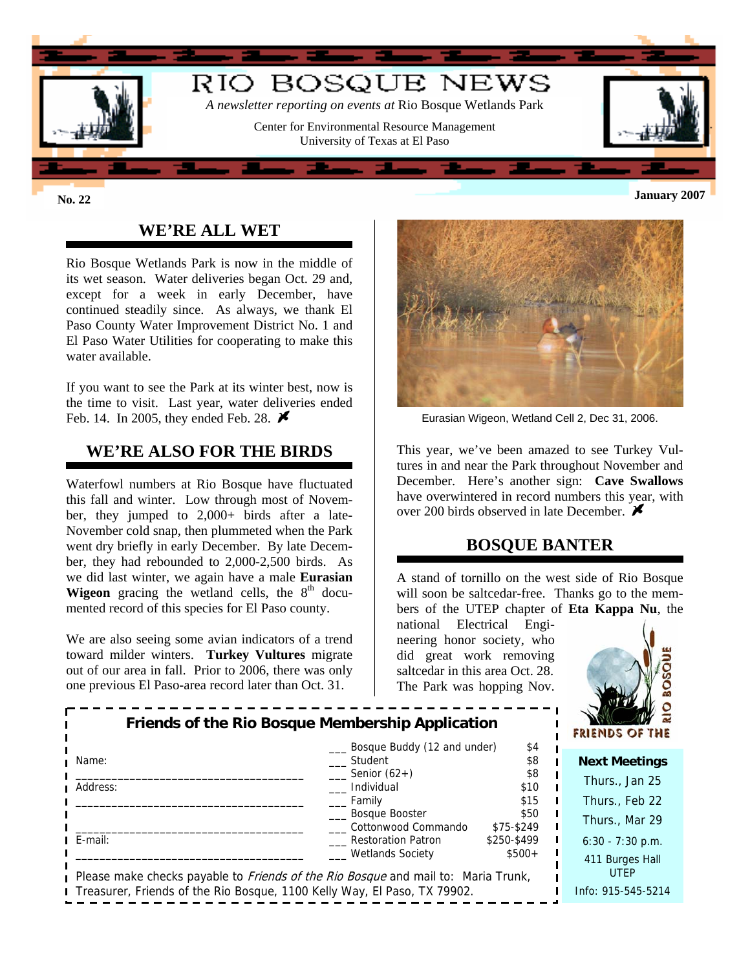

# **WE'RE ALL WET**

Rio Bosque Wetlands Park is now in the middle of its wet season. Water deliveries began Oct. 29 and, except for a week in early December, have continued steadily since. As always, we thank El Paso County Water Improvement District No. 1 and El Paso Water Utilities for cooperating to make this water available.

If you want to see the Park at its winter best, now is the time to visit. Last year, water deliveries ended Feb. 14. In 2005, they ended Feb. 28.  $\blacktriangleright$ 

### **WE'RE ALSO FOR THE BIRDS**

Waterfowl numbers at Rio Bosque have fluctuated this fall and winter. Low through most of November, they jumped to 2,000+ birds after a late-November cold snap, then plummeted when the Park went dry briefly in early December. By late December, they had rebounded to 2,000-2,500 birds. As we did last winter, we again have a male **Eurasian Wigeon** gracing the wetland cells, the  $8<sup>th</sup>$  documented record of this species for El Paso county.

We are also seeing some avian indicators of a trend toward milder winters. **Turkey Vultures** migrate out of our area in fall. Prior to 2006, there was only one previous El Paso-area record later than Oct. 31.



Eurasian Wigeon, Wetland Cell 2, Dec 31, 2006.

This year, we've been amazed to see Turkey Vultures in and near the Park throughout November and December. Here's another sign: **Cave Swallows** have overwintered in record numbers this year, with over 200 birds observed in late December.  $\blacktriangleright$ 

### **BOSQUE BANTER**

A stand of tornillo on the west side of Rio Bosque will soon be saltcedar-free. Thanks go to the members of the UTEP chapter of **Eta Kappa Nu**, the

national Electrical Engineering honor society, who did great work removing saltcedar in this area Oct. 28. The Park was hopping Nov.



|                                                                                          | Friends of the Rio Bosque Membership Application |             |  | 1 <i>W</i> 82<br>$M^{\gamma}$ and $\sim$<br>FRIENDS OF THE |
|------------------------------------------------------------------------------------------|--------------------------------------------------|-------------|--|------------------------------------------------------------|
|                                                                                          | Bosque Buddy (12 and under)                      | \$4         |  |                                                            |
| Name:                                                                                    | Student                                          | \$8         |  | <b>Next Meetings</b>                                       |
|                                                                                          | Senior $(62+)$                                   | \$8         |  | Thurs., Jan 25                                             |
| Address:                                                                                 | Individual                                       | \$10        |  |                                                            |
|                                                                                          | Family                                           | \$15        |  | Thurs., Feb 22                                             |
|                                                                                          | __ Bosque Booster                                | \$50        |  | Thurs., Mar 29                                             |
|                                                                                          | Cottonwood Commando                              | \$75-\$249  |  |                                                            |
| $I$ E-mail:                                                                              | Restoration Patron                               | \$250-\$499 |  | $6:30 - 7:30$ p.m.                                         |
|                                                                                          | <b>Wetlands Society</b>                          | $$500+$     |  | 411 Burges Hall                                            |
| Please make checks payable to <i>Friends of the Rio Bosque</i> and mail to: Maria Trunk, |                                                  |             |  | <b>UTEP</b>                                                |
| <b>I</b> Treasurer, Friends of the Rio Bosque, 1100 Kelly Way, El Paso, TX 79902.        |                                                  |             |  | Info: 915-545-5214                                         |
|                                                                                          |                                                  |             |  |                                                            |